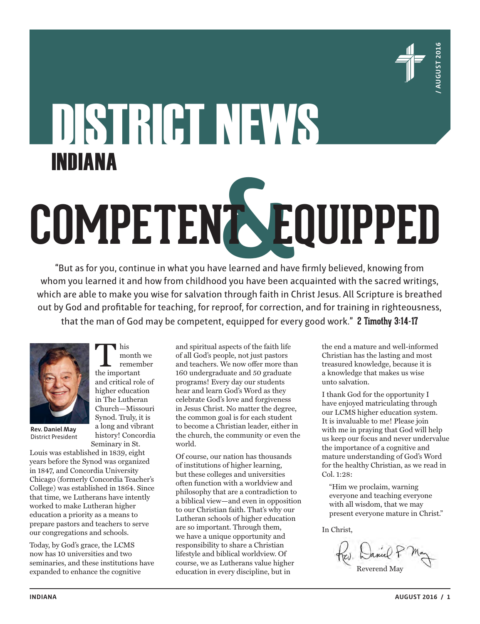

# DISTRICT NEWS INDIANA **COMPETENT EQUIPPED &**

"But as for you, continue in what you have learned and have firmly believed, knowing from whom you learned it and how from childhood you have been acquainted with the sacred writings, which are able to make you wise for salvation through faith in Christ Jesus. All Scripture is breathed out by God and profitable for teaching, for reproof, for correction, and for training in righteousness, that the man of God may be competent, equipped for every good work." **2 Timothy 3:14-17**



This<br>
month<br>
the important month we remember and critical role of higher education in The Lutheran Church—Missouri Synod. Truly, it is a long and vibrant history! Concordia Seminary in St.

**Rev. Daniel May** District President

Louis was established in 1839, eight years before the Synod was organized in 1847, and Concordia University Chicago (formerly Concordia Teacher's College) was established in 1864. Since that time, we Lutherans have intently worked to make Lutheran higher education a priority as a means to prepare pastors and teachers to serve our congregations and schools.

Today, by God's grace, the LCMS now has 10 universities and two seminaries, and these institutions have expanded to enhance the cognitive

and spiritual aspects of the faith life of all God's people, not just pastors and teachers. We now offer more than 160 undergraduate and 50 graduate programs! Every day our students hear and learn God's Word as they celebrate God's love and forgiveness in Jesus Christ. No matter the degree, the common goal is for each student to become a Christian leader, either in the church, the community or even the world.

Of course, our nation has thousands of institutions of higher learning, but these colleges and universities often function with a worldview and philosophy that are a contradiction to a biblical view—and even in opposition to our Christian faith. That's why our Lutheran schools of higher education are so important. Through them, we have a unique opportunity and responsibility to share a Christian lifestyle and biblical worldview. Of course, we as Lutherans value higher education in every discipline, but in

the end a mature and well-informed Christian has the lasting and most treasured knowledge, because it is a knowledge that makes us wise unto salvation.

I thank God for the opportunity I have enjoyed matriculating through our LCMS higher education system. It is invaluable to me! Please join with me in praying that God will help us keep our focus and never undervalue the importance of a cognitive and mature understanding of God's Word for the healthy Christian, as we read in Col. 1:28:

"Him we proclaim, warning everyone and teaching everyone with all wisdom, that we may present everyone mature in Christ."

In Christ,

Reverend May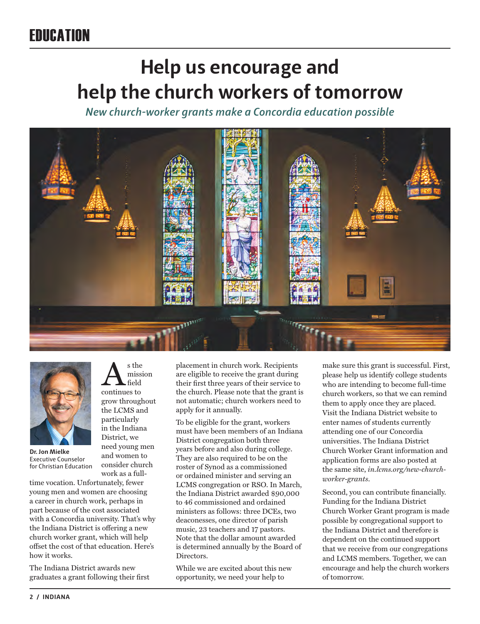### EDUCATION

## **Help us encourage and help the church workers of tomorrow**

*New church-worker grants make a Concordia education possible*





**Dr. Jon Mielke**  Executive Counselor for Christian Education

work as a fulltime vocation. Unfortunately, fewer young men and women are choosing a career in church work, perhaps in part because of the cost associated with a Concordia university. That's why the Indiana District is offering a new church worker grant, which will help offset the cost of that education. Here's how it works.

As the<br>missis<br>continues to

grow throughout the LCMS and particularly in the Indiana District, we need young men and women to consider church

mission field

The Indiana District awards new graduates a grant following their first placement in church work. Recipients are eligible to receive the grant during their first three years of their service to the church. Please note that the grant is not automatic; church workers need to apply for it annually.

To be eligible for the grant, workers must have been members of an Indiana District congregation both three years before and also during college. They are also required to be on the roster of Synod as a commissioned or ordained minister and serving an LCMS congregation or RSO. In March, the Indiana District awarded \$90,000 to 46 commissioned and ordained ministers as follows: three DCEs, two deaconesses, one director of parish music, 23 teachers and 17 pastors. Note that the dollar amount awarded is determined annually by the Board of Directors.

While we are excited about this new opportunity, we need your help to

make sure this grant is successful. First, please help us identify college students who are intending to become full-time church workers, so that we can remind them to apply once they are placed. Visit the Indiana District website to enter names of students currently attending one of our Concordia universities. The Indiana District Church Worker Grant information and application forms are also posted at the same site, *in.lcms.org/new-churchworker-grants*.

Second, you can contribute financially. Funding for the Indiana District Church Worker Grant program is made possible by congregational support to the Indiana District and therefore is dependent on the continued support that we receive from our congregations and LCMS members. Together, we can encourage and help the church workers of tomorrow.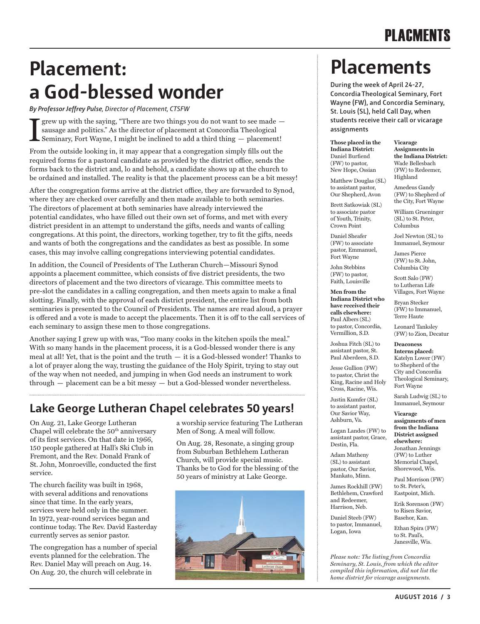### **Placement: a God-blessed wonder During the week of April 24-27,**

*By Professor Jeffrey Pulse, Director of Placement, CTSFW*

There are two things you do not want to see made -<br>sausage and politics." As the director of placement at Concordia Theological<br>Seminary, Fort Wayne, I might be inclined to add a third thing — placement! grew up with the saying, "There are two things you do not want to see made sausage and politics." As the director of placement at Concordia Theological

From the outside looking in, it may appear that a congregation simply fills out the required forms for a pastoral candidate as provided by the district office, sends the forms back to the district and, lo and behold, a candidate shows up at the church to be ordained and installed. The reality is that the placement process can be a bit messy!

After the congregation forms arrive at the district office, they are forwarded to Synod, where they are checked over carefully and then made available to both seminaries. The directors of placement at both seminaries have already interviewed the potential candidates, who have filled out their own set of forms, and met with every district president in an attempt to understand the gifts, needs and wants of calling congregations. At this point, the directors, working together, try to fit the gifts, needs and wants of both the congregations and the candidates as best as possible. In some cases, this may involve calling congregations interviewing potential candidates.

In addition, the Council of Presidents of The Lutheran Church—Missouri Synod appoints a placement committee, which consists of five district presidents, the two directors of placement and the two directors of vicarage. This committee meets to pre-slot the candidates in a calling congregation, and then meets again to make a final slotting. Finally, with the approval of each district president, the entire list from both seminaries is presented to the Council of Presidents. The names are read aloud, a prayer is offered and a vote is made to accept the placements. Then it is off to the call services of each seminary to assign these men to those congregations.

Another saying I grew up with was, "Too many cooks in the kitchen spoils the meal." With so many hands in the placement process, it is a God-blessed wonder there is any meal at all! Yet, that is the point and the truth — it is a God-blessed wonder! Thanks to a lot of prayer along the way, trusting the guidance of the Holy Spirit, trying to stay out of the way when not needed, and jumping in when God needs an instrument to work through — placement can be a bit messy — but a God-blessed wonder nevertheless.

### **Lake George Lutheran Chapel celebrates 50 years!**

On Aug. 21, Lake George Lutheran Chapel will celebrate the 50<sup>th</sup> anniversary of its first services. On that date in 1966, 150 people gathered at Hall's Ski Club in Fremont, and the Rev. Donald Frank of St. John, Monroeville, conducted the first service.

The church facility was built in 1968, with several additions and renovations since that time. In the early years, services were held only in the summer. In 1972, year-round services began and continue today. The Rev. David Easterday currently serves as senior pastor.

The congregation has a number of special events planned for the celebration. The Rev. Daniel May will preach on Aug. 14. On Aug. 20, the church will celebrate in

a worship service featuring The Lutheran Men of Song. A meal will follow.

On Aug. 28, Resonate, a singing group from Suburban Bethlehem Lutheran Church, will provide special music. Thanks be to God for the blessing of the 50 years of ministry at Lake George.



## **Placements**

**Concordia Theological Seminary, Fort Wayne (FW), and Concordia Seminary, St. Louis (SL), held Call Day, when students receive their call or vicarage assignments**

**Those placed in the Indiana District:**  Daniel Burfiend (FW) to pastor, New Hope, Ossian

Matthew Douglas (SL) to assistant pastor, Our Shepherd, Avon

**Vicarage Assignments in the Indiana District:** Wade Bellesbach (FW) to Redeemer, Highland

Amedeus Gandy

Brett Satkowiak (SL) to associate pastor of Youth, Trinity, Crown Point

Daniel Sheafer (FW) to associate pastor, Emmanuel, Fort Wayne

John Stebbins (FW) to pastor, Faith, Louisville

**Men from the Indiana District who have received their calls elsewhere:**  Paul Albers (SL) to pastor, Concordia, Vermillion, S.D.

Joshua Fitch (SL) to assistant pastor, St. Paul Aberdeen, S.D.

Jesse Gullion (FW) to pastor, Christ the King, Racine and Holy Cross, Racine, Wis.

Justin Kumfer (SL) to assistant pastor, Our Savior Way, Ashburn, Va.

Logan Landes (FW) to assistant pastor, Grace, Destin, Fla.

Adam Matheny (SL) to assistant pastor, Our Savior, Mankato, Minn.

James Rockhill (FW) Bethlehem, Crawford and Redeemer, Harrison, Neb.

Daniel Steeb (FW) to pastor, Immanuel, Logan, Iowa

(FW) to Shepherd of the City, Fort Wayne William Grueninger (SL) to St. Peter, Columbus Joel Newton (SL) to Immanuel, Seymour

James Pierce (FW) to St. John, Columbia City

Scott Salo (FW) to Lutheran Life Villages, Fort Wayne

Bryan Stecker (FW) to Immanuel, Terre Haute

Leonard Tanksley (FW) to Zion, Decatur

**Deaconess** 

**Interns placed:** Katelyn Lower (FW) to Shepherd of the City and Concordia Theological Seminary, Fort Wayne

Sarah Ludwig (SL) to Immanuel, Seymour

**Vicarage** 

**assignments of men from the Indiana District assigned elsewhere:** Jonathan Jennings (FW) to Luther Memorial Chapel, Shorewood, Wis.

Paul Morrison (FW) to St. Peter's, Eastpoint, Mich.

Erik Sorenson (FW) to Risen Savior, Basehor, Kan.

Ethan Spira (FW) to St. Paul's, Janesville, Wis.

*Please note: The listing from Concordia Seminary, St. Louis, from which the editor compiled this information, did not list the home district for vicarage assignments.*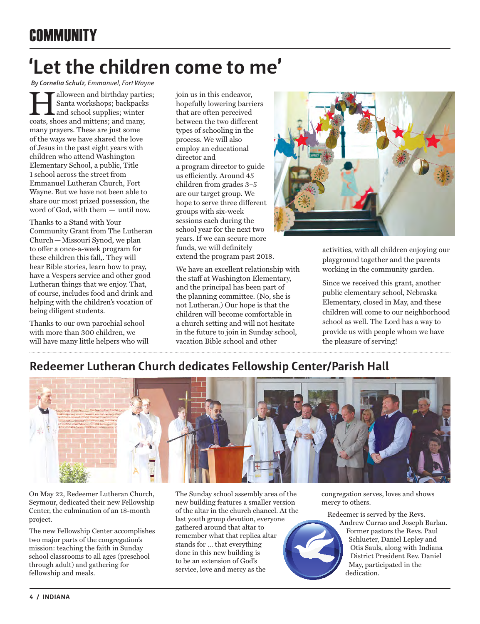# **'Let the children come to me'**

*By Cornelia Schulz, Emmanuel, Fort Wayne*

**Halloween and birthday parties;**<br>Santa workshops; backpacks<br>and school supplies; winter<br>coats, shoes and mittens: and many. Santa workshops; backpacks and school supplies; winter coats, shoes and mittens; and many, many prayers. These are just some of the ways we have shared the love of Jesus in the past eight years with children who attend Washington Elementary School, a public, Title 1 school across the street from Emmanuel Lutheran Church, Fort Wayne. But we have not been able to share our most prized possession, the word of God, with them — until now.

Thanks to a Stand with Your Community Grant from The Lutheran Church—Missouri Synod, we plan to offer a once-a-week program for these children this fall,. They will hear Bible stories, learn how to pray, have a Vespers service and other good Lutheran things that we enjoy. That, of course, includes food and drink and helping with the children's vocation of being diligent students.

Thanks to our own parochial school with more than 300 children, we will have many little helpers who will join us in this endeavor, hopefully lowering barriers that are often perceived between the two different types of schooling in the process. We will also employ an educational director and a program director to guide us efficiently. Around 45 children from grades 3–5 are our target group. We hope to serve three different groups with six-week sessions each during the school year for the next two years. If we can secure more funds, we will definitely extend the program past 2018.

We have an excellent relationship with the staff at Washington Elementary, and the principal has been part of the planning committee. (No, she is not Lutheran.) Our hope is that the children will become comfortable in a church setting and will not hesitate in the future to join in Sunday school, vacation Bible school and other



activities, with all children enjoying our playground together and the parents working in the community garden.

Since we received this grant, another public elementary school, Nebraska Elementary, closed in May, and these children will come to our neighborhood school as well. The Lord has a way to provide us with people whom we have the pleasure of serving!

### **Redeemer Lutheran Church dedicates Fellowship Center/Parish Hall**



On May 22, Redeemer Lutheran Church, Seymour, dedicated their new Fellowship Center, the culmination of an 18-month project.

The new Fellowship Center accomplishes two major parts of the congregation's mission: teaching the faith in Sunday school classrooms to all ages (preschool through adult) and gathering for fellowship and meals.

The Sunday school assembly area of the new building features a smaller version of the altar in the church chancel. At the last youth group devotion, everyone gathered around that altar to remember what that replica altar stands for … that everything done in this new building is to be an extension of God's service, love and mercy as the

congregation serves, loves and shows mercy to others.

Redeemer is served by the Revs. Andrew Currao and Joseph Barlau.

Former pastors the Revs. Paul Schlueter, Daniel Lepley and Otis Sauls, along with Indiana District President Rev. Daniel May, participated in the dedication.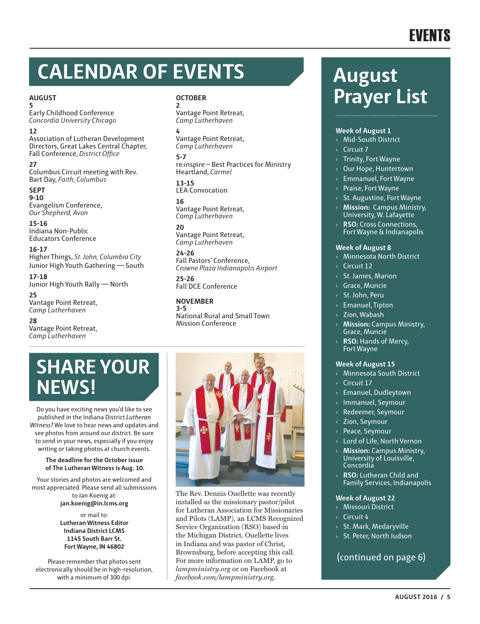# **CALENDAR OF EVENTS**

#### **AUGUST 5**

Early Childhood Conference *Concordia University Chicago*

#### **12**

Association of Lutheran Development Directors, Great Lakes Central Chapter, Fall Conference, *District Office*

**27** Columbus Circuit meeting with Rev. Bart Day, *Faith, Columbus*

#### **SEPT 9-10** Evangelism Conference, *Our Shepherd, Avon*

**15-16** Indiana Non-Public Educators Conference

**16-17** Higher Things, *St. John, Columbia City* Junior High Youth Gathering — South

**17-18** Junior High Youth Rally — North

**25** Vantage Point Retreat, *Camp Lutherhaven*

**28** Vantage Point Retreat, *Camp Lutherhaven*

#### **OCTOBER**

**2** Vantage Point Retreat, *Camp Lutherhaven*

#### **4**

Vantage Point Retreat, *Camp Lutherhaven*

**5-7** re:inspire – Best Practices for Ministry Heartland, *Carmel* 

**13-15** LEA Convocation

**16** Vantage Point Retreat, *Camp Lutherhaven*

**20** Vantage Point Retreat, *Camp Lutherhaven*

**24-26** Fall Pastors' Conference, *Crowne Plaza Indianapolis Airport*

**25-26** Fall DCE Conference

**NOVEMBER 3-5** National Rural and Small Town Mission Conference

### **SHARE YOUR NEWS!**

Do you have exciting news you'd like to see published in the Indiana District *Lutheran Witness*? We love to hear news and updates and see photos from around our district. Be sure to send in your news, especially if you enjoy writing or taking photos at church events.

#### **The deadline for the October issue of The Lutheran Witness is Aug. 10.**

Your stories and photos are welcomed and most appreciated. Please send all submissions to Jan Koenig at: **jan.koenig@in.lcms.org** 

> or mail to: **Lutheran Witness Editor Indiana District LCMS 1145 South Barr St. Fort Wayne, IN 46802**

Please remember that photos sent electronically should be in high-resolution, with a minimum of 300 dpi.



The Rev. Dennis Ouellette was recently installed as the missionary pastor/pilot for Lutheran Association for Missionaries and Pilots (LAMP), an LCMS Recognized Service Organization (RSO) based in the Michigan District. Ouellette lives in Indiana and was pastor of Christ, Brownsburg, before accepting this call. For more information on LAMP, go to *lampministry.org* or on Facebook at *facebook.com/lampministry.org*.

### **August Prayer List**

#### **Week of August 1**

- › Mid-South District
- › Circuit 7
- › Trinity, Fort Wayne
- › Our Hope, Huntertown
- › Emmanuel, Fort Wayne
- › Praise, Fort Wayne
- $>$  St. Augustine, Fort Wayne
- **Mission: Campus Ministry,** University, W. Lafayette
- › **RSO:** Cross Connections, Fort Wayne & Indianapolis

#### **Week of August 8**

- › Minnesota North District
- › Circuit 12
- › St. James, Marion
- › Grace, Muncie
- St. John, Peru
- › Emanuel, Tipton
- › Zion, Wabash
- **Mission: Campus Ministry,** Grace, Muncie
- **RSO: Hands of Mercy.** Fort Wayne

#### **Week of August 15**

- › Minnesota South District
- **Circuit 17**
- › Emanuel, Dudleytown
- › Immanuel, Seymour
- Redeemer, Seymour
- Zion, Seymour
- Peace, Seymour
- Lord of Life, North Vernon
- › **Mission:** Campus Ministry, University of Louisville. Concordia
- › **RSO:** Lutheran Child and Family Services, Indianapolis

#### **Week of August 22**

- › Missouri District
- $\sqrt{2}$  Circuit 4
- › St. Mark, Medaryville
- › St. Peter, North Judson

(continued on page 6)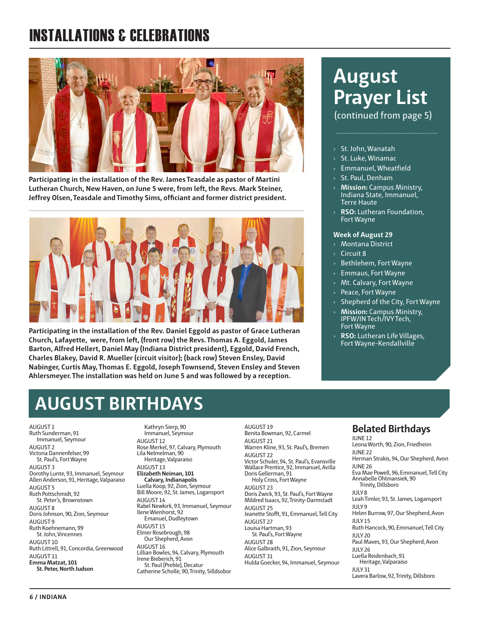### INSTALLATIONS & CELEBRATIONS



**Participating in the installation of the Rev. James Teasdale as pastor of Martini Lutheran Church, New Haven, on June 5 were, from left, the Revs. Mark Steiner, Jeffrey Olsen, Teasdale and Timothy Sims, officiant and former district president.**



**Participating in the installation of the Rev. Daniel Eggold as pastor of Grace Lutheran Church, Lafayette, were, from left, (front row) the Revs. Thomas A. Eggold, James Barton, Alfred Hellert, Daniel May (Indiana District president), Eggold, David French, Charles Blakey, David R. Mueller (circuit visitor); (back row) Steven Ensley, David Nabinger, Curtis May, Thomas E. Eggold, Joseph Townsend, Steven Ensley and Steven Ahlersmeyer. The installation was held on June 5 and was followed by a reception.**

### **August Prayer List**

(continued from page 5)

#### › St. John, Wanatah

- › St. Luke, Winamac
- › Emmanuel, Wheatfield
- › St. Paul, Denham
- › **Mission:** Campus Ministry, Indiana State, Immanuel, Terre Haute
- › **RSO:** Lutheran Foundation, Fort Wayne

#### **Week of August 29**

- › Montana District
- Circuit 8
- › Bethlehem, Fort Wayne
- › Emmaus, Fort Wayne
- Mt. Calvary, Fort Wayne
- › Peace, Fort Wayne
- $\rightarrow$  Shepherd of the City, Fort Wayne
- › **Mission:** Campus Ministry, IPFW/IN Tech/IVY Tech, Fort Wayne
- › **RSO:** Lutheran Life Villages, Fort Wayne-Kendallville

### **AUGUST BIRTHDAYS**

AUGUST 1 Ruth Sunderman, 91 Immanuel, Seymour AUGUST 2 Victoria Dannenfelser, 99 St. Paul's, Fort Wayne AUGUST 3 Dorothy Lunte, 93, Immanuel, Seymour Allen Anderson, 91, Heritage, Valparaiso AUGUST 5 Ruth Pottschmidt, 92 St. Peter's, Brownstown AUGUST 8 Doris Johnson, 90, Zion, Seymour AUGUST 9 Ruth Koehnemann, 99 St. John, Vincennes AUGUST 10 Ruth Littrell, 91, Concordia, Greenwood AUGUST 11 **Emma Matzat, 101 St. Peter, North Judson**

Kathryn Sierp, 90 Immanuel, Seymour AUGUST 12 Rose Merkel, 97, Calvary, Plymouth Lila Nelmelman, 90 Heritage, Valparaiso AUGUST 13 **Elizabeth Neiman, 101 Calvary, Indianapolis** Luella Koop, 92, Zion, Seymour Bill Moore, 92, St. James, Logansport AUGUST 14 Rabel Newkirk, 93, Immanuel, Seymour Ilene Wienhorst, 92 Emanuel, Dudleytown AUGUST 15 Elmer Rosebrough, 98 Our Shepherd, Avon AUGUST 16 Lillian Bowles, 94, Calvary, Plymouth Irene Bieberich, 91 St. Paul (Preble), Decatur Catherine Scholle, 90, Trinity, Silldsobor

AUGUST 19 Benita Bowman, 92, Carmel AUGUST 21 Warren Kline, 93, St. Paul's, Bremen AUGUST 22 Victor Schuler, 94, St. Paul's, Evansville Wallace Prentice, 92, Immanuel, Avilla Doris Gellerman, 91 Holy Cross, Fort Wayne AUGUST 23 Doris Zwick, 93, St. Paul's, Fort Wayne Mildred Isaacs, 92, Trinity-Darmstadt AUGUST 25 Jeanette Stofft, 91, Emmanuel, Tell City AUGUST 27 Louisa Hartman, 93 St. Paul's, Fort Wayne AUGUST 28 Alice Galbraith, 91, Zion, Seymour AUGUST 31 Hulda Goecker, 94, Immanuel, Seymour

#### **Belated Birthdays** JUNE 12

Leona Worth, 90, Zion, Friedheim JUNE 22 Herman Strakis, 94, Our Shepherd, Avon JUNE 26 Eva Mae Powell, 96, Emmanuel, Tell City Annabelle Ohlmansiek, 90 Trinity, Dillsboro JULY 8 Leah Timler, 93, St. James, Logansport JULY 9 Helen Burrow, 97, Our Shepherd, Avon JULY 15 Ruth Hancock, 90, Emmanuel, Tell City JULY 20 Paul Maves, 93, Our Shepherd, Avon JULY 26 Luella Reidenbach, 91 Heritage, Valparaiso JULY 31 Lavera Barlow, 92, Trinity, Dillsboro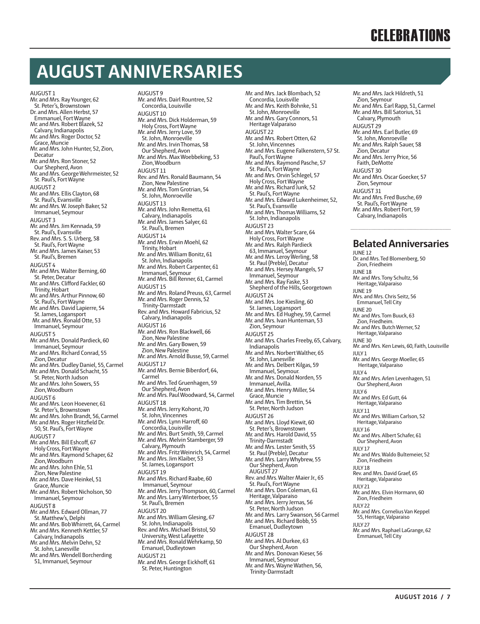### **AUGUST ANNIVERSARIES**

AUGUST 1 Mr. and Mrs. Ray Younger, 62 St. Peter's, Brownstown Dr. and Mrs. Allen Herbst, 57 Emmanuel, Fort Wayne Mr. and Mrs. Robert Blazek, 52 Calvary, Indianapolis Mr. and Mrs. Roger Doctor, 52 Grace, Muncie Mr. and Mrs. John Hunter, 52, Zion, Decatur Mr. and Mrs. Ron Stoner, 52 Our Shepherd, Avon Mr. and Mrs. George Wehrmeister, 52 St. Paul's, Fort Wayne AUGUST 2 Mr. and Mrs. Ellis Clayton, 68 St. Paul's, Evansville Mr. and Mrs. W. Joseph Baker, 52 Immanuel, Seymour AUGUST 3 Mr. and Mrs. Jim Kennada, 59 St. Paul's, Evansville Rev. and Mrs. S. S. Urberg, 58 St. Paul's, Fort Wayne Mr. and Mrs. James Kaiser, 53 St. Paul's, Bremen AUGUST 4 Mr. and Mrs. Walter Berning, 60 St. Peter, Decatur Mr. and Mrs. Clifford Fackler, 60 Trinity, Hobart Mr. and Mrs. Arthur Pinnow, 60 St. Paul's, Fort Wayne Mr. and Mrs. David Lapierre, 54 St. James, Logansport Mr. and Mrs. Ronald Otte, 53 Immanuel, Seymour AUGUST 5 Mr. and Mrs. Donald Pardieck, 60 Immanuel, Seymour Mr. and Mrs. Richard Conrad, 55 Zion, Decatur Mr. and Mrs. Dudley Daniel, 55, Carmel Mr. and Mrs. Donald Schacht, 55 St. Peter, North Judson Mr. and Mrs. John Sowers, 55 Zion, Woodburn AUGUST 6 Mr. and Mrs. Leon Hoevener, 61 St. Peter's, Brownstown Mr. and Mrs. John Brandt, 56, Carmel Mr. and Mrs. Roger Hitzfield Dr. 50, St. Paul's, Fort Wayne AUGUST 7 Mr. and Mrs. Bill Eshcoff, 67 Holy Cross, Fort Wayne Mr. and Mrs. Raymond Schaper, 62 Zion, Woodburn Mr. and Mrs. John Ehle, 51 Zion, New Palestine Mr. and Mrs. Dave Heinkel, 51 Grace, Muncie Mr. and Mrs. Robert Nicholson, 50 Immanuel, Seymour AUGUST 8 Mr. and Mrs. Edward Ollman, 77 St. Matthew's, Delphi Mr. and Mrs. Bob Whirrett, 64, Carmel Mr. and Mrs. Kenneth Kettler, 57 Calvary, Indianapolis Mr. and Mrs. Melvin Dehn, 52 St. John, Lanesville Mr. and Mrs. Wendell Borcherding 51, Immanuel, Seymour

AUGUST 9 Mr. and Mrs. Dairl Rountree, 52 Concordia, Louisville AUGUST 10 Mr. and Mrs. Dick Holderman, 59 Holy Cross, Fort Wayne Mr. and Mrs. Jerry Love, 59 St. John, Monroeville Mr. and Mrs. Irvin Thomas, 58 Our Shepherd, Avon Mr. and Mrs. Max Woebbeking, 53 Zion, Woodburn AUGUST 11 Rev. and Mrs. Ronald Baumann, 54 Zion, New Palestine Mr. and Mrs. Tom Grotrian, 54 St. John, Monroeville AUGUST 13 Mr. and Mrs. John Remetta, 61 Calvary, Indianapolis Mr. and Mrs. James Salyer, 61 St. Paul's, Bremen AUGUST 14 Mr. and Mrs. Erwin Moehl, 62 Trinity, Hobart Mr. and Mrs. William Bonitz, 61 St. John, Indianapolis Mr. and Mrs. Robert Carpenter, 61 Immanuel, Seymour Mr. and Mrs. Bill Renner, 61, Carmel AUGUST 15 Mr. and Mrs. Roland Preuss, 63, Carmel Mr. and Mrs. Roger Dennis, 52 Trinity-Darmstadt Rev. and Mrs. Howard Fabricius, 52 Calvary, Indianapolis AUGUST 16 Mr. and Mrs. Ron Blackwell, 66 Zion, New Palestine Mr. and Mrs. Gary Bowen, 59 Zion, New Palestine Mr. and Mrs. Arnold Busse, 59, Carmel AUGUST 17 Mr. and Mrs. Bernie Biberdorf, 64, Carmel Mr. and Mrs. Ted Gruenhagen, 59 Our Shepherd, Avon Mr. and Mrs. Paul Woodward, 54, Carmel AUGUST 18 Mr. and Mrs. Jerry Kohorst, 70 St. John, Vincennes Mr. and Mrs. Lynn Harroff, 60 Concordia, Louisville Mr. and Mrs. Burt Smith, 59, Carmel Mr. and Mrs. Melvin Stamberger, 59 Calvary, Plymouth Mr. and Mrs. Fritz Weinrich, 54, Carmel Mr. and Mrs. Jim Klaiber, 53 St. James, Logansport AUGUST 19 Mr. and Mrs. Richard Raabe, 60 Immanuel, Seymour Mr. and Mrs. Jerry Thompson, 60, Carmel Mr. and Mrs. Larry Winterboer, 55 St. Paul's, Bremen AUGUST 20 Mr. and Mrs. William Glesing, 67 St. John, Indianapolis Rev. and Mrs. Michael Bristol, 50 University, West Lafayette Mr. and Mrs. Ronald Wehrkamp, 50 Emanuel, Dudleytown AUGUST 21 Mr. and Mrs. George Eickhoff, 61 St. Peter, Huntington

Mr. and Mrs. Jack Blombach, 52 Concordia, Louisville Mr. and Mrs. Keith Bohnke, 51 St. John, Monroeville Mr. and Mrs. Gary Connors, 51 Heritage Valparaiso AUGUST 22 Mr. and Mrs. Robert Otten, 62 St. John, Vincennes Mr. and Mrs. Eugene Falkenstern, 57 St. ni. and music Ligan.<br>Paul's, Fort Wayne Mr. and Mrs. Raymond Pasche, 57 St. Paul's, Fort Wayne Mr. and Mrs. Orvin Schlegel, 57 Holy Cross, Fort Wayne Mr. and Mrs. Richard Junk, 52 St. Paul's, Fort Wayne Mr. and Mrs. Edward Lukenheimer, 52, St. Paul's, Evansville Mr. and Mrs. Thomas Williams, 52 St. John, Indianapolis AUGUST 23 Mr. and Mrs. Walter Scare, 64 Holy Cross, Fort Wayne Mr. and Mrs. Ralph Pardieck 63, Immanuel, Seymour Mr. and Mrs. Leroy Werling, 58 St. Paul (Preble), Decatur Mr. and Mrs. Hersey Mangels, 57 Immanuel, Seymour Mr. and Mrs. Ray Faske, 53 Shepherd of the Hills, Georgetown AUGUST 24 Mr. and Mrs. Joe Kiesling, 60 St. James, Logansport Mr. and Mrs. Ed Hughey, 59, Carmel Mr. and Mrs. Ivan Hunteman, 53 Zion, Seymour AUGUST 25 Mr. and Mrs. Charles Freeby, 65, Calvary, Indianapolis Mr. and Mrs. Norbert Walther, 65 St. John, Lanesville Mr. and Mrs. Delbert Kilgas, 59 Immanuel, Seymour. Mr. and Mrs. Donald Norden, 55 Immanuel, Avilla. Mr. and Mrs. Henry Miller, 54 Grace, Muncie Mr. and Mrs. Tim Brettin, 54 St. Peter, North Judson AUGUST 26 Mr. and Mrs. Lloyd Kiewit, 60 St. Peter's, Brownstown Mr. and Mrs. Harold David, 55 Trinity-Darmstadt Mr. and Mrs. Lester Smith, 55 St. Paul (Preble), Decatur Mr. and Mrs. Larry Whybrew, 55 Our Shepherd, Avon AUGUST 27 Rev. and Mrs. Walter Maier Jr., 65 St. Paul's, Fort Wayne Mr. and Mrs. Don Coleman, 61 Heritage, Valparaiso Mr. and Mrs. Jerry Jernas, 56 St. Peter, North Judson Mr. and Mrs. Larry Swanson, 56 Carmel Mr. and Mrs. Richard Bobb, 55 Emanuel, Dudleytown AUGUST 28 Mr. and Mrs. Al Durkee, 63 Our Shepherd, Avon Mr. and Mrs. Donovan Kieser, 56 Immanuel, Seymour Mr. and Mrs. Wayne Wathen, 56, Trinity-Darmstadt

Mr. and Mrs. Jack Hildreth, 51 Zion, Seymour Mr. and Mrs. Earl Rapp, 51, Carmel Mr. and Mrs. Bill Satorius, 51 Calvary, Plymouth AUGUST 29 Mr. and Mrs. Earl Butler, 69 St. John, Monroeville Mr. and Mrs. Ralph Sauer, 58 Zion, Decatur Mr. and Mrs. Jerry Price, 56 Faith, DeMotte AUGUST 30 Mr. and Mrs. Oscar Goecker, 57 Zion, Seymour AUGUST 31 Mr. and Mrs. Fred Busche, 69 St. Paul's, Fort Wayne Mr. and Mrs. Robert Fort, 59 Calvary, Indianapolis

### **Belated Anniversaries**

JUNE 12 Dr. and Mrs. Ted Blomenberg, 50 Zion, Friedheim JUNE 18 Mr. and Mrs. Tony Schultz, 56 Heritage, Valparaiso  $I$ UNE 19 Mrs. and Mrs. Chris Seitz, 56 Emmanuel, Tell City JUNE 20 Mr. and Mrs. Tom Buuck, 63 Zion, Friedheim. Mr. and Mrs. Butch Werner, 52 Heritage, Valparaiso JUNE 30 Mr. and Mrs. Ken Lewis, 60, Faith, Louisville JULY 1 Mr. and Mrs. George Moeller, 65 Heritage, Valparaiso JULY 4 Mr. and Mrs. Arlen Levenhagen, 51 Our Shepherd, Avon  $IIIVA$ Mr. and Mrs. Ed Gutt, 64 Heritage, Valparaiso JULY 11 Mr. and Mrs. William Carlson, 52 Heritage, Valparaiso  $IIIIVI6$ Mr. and Mrs. Albert Schafer, 61 Our Shepherd, Avon JULY 17 Mr. and Mrs. Waldo Bultemeier, 52 Zion, Friedheim JULY 18 Rev. and Mrs. David Graef, 65 Heritage, Valparaiso JULY 21 Mr. and Mrs. Elvin Hormann, 60 Zion, Friedheim JULY 22 Mr. and Mrs. Cornelius Van Keppel 55, Heritage, Valparaiso JULY 27 Mr. and Mrs. Raphael LaGrange, 62 Emmanuel, Tell City